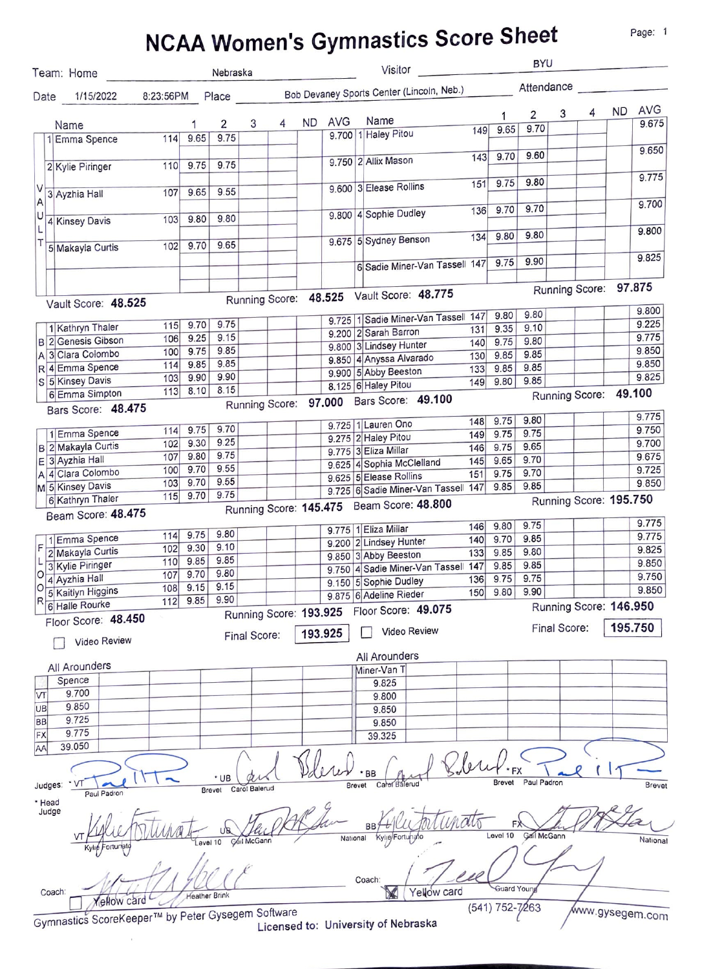# NCAA Woman's Cymnastics Score Sheet

Page: 1

|                     |                                                   |          |                      |                        |               |                        |         |            |        | NGAA WOMEN'S OYNMASHUS OUDIU OF                                          |     |                 |                |              |                        |         |                 |
|---------------------|---------------------------------------------------|----------|----------------------|------------------------|---------------|------------------------|---------|------------|--------|--------------------------------------------------------------------------|-----|-----------------|----------------|--------------|------------------------|---------|-----------------|
|                     | Team: Home                                        |          |                      | Nebraska               |               |                        |         |            |        | Visitor                                                                  |     |                 | <b>BYU</b>     |              |                        |         |                 |
|                     |                                                   |          |                      |                        |               |                        |         |            |        | Date 1/15/2022 8:23:56PM Place Bob Devaney Sports Center (Lincoln, Neb.) |     |                 | Attendance     |              |                        |         |                 |
|                     |                                                   |          |                      |                        |               |                        | ND.     | <b>AVG</b> |        | Name                                                                     |     | 1               | $\overline{2}$ | 3            | 4                      |         | ND AVG          |
|                     | Name<br>1 Emma Spence                             | 114 9.65 |                      | $\overline{2}$<br>9.75 | 3             | 4                      |         |            |        | 9.700 1 Haley Pitou                                                      | 149 | 9.65            | 9.70           |              |                        |         | 9.675           |
|                     |                                                   |          |                      |                        |               |                        |         |            |        |                                                                          |     |                 | 9.60           |              |                        |         | 9.650           |
|                     | 2 Kylie Piringer                                  |          | 110 9.75             | 9.75                   |               |                        |         |            |        | 9.750 2 Allix Mason                                                      | 143 | 9.70            |                |              |                        |         |                 |
|                     |                                                   |          |                      |                        |               |                        |         |            |        | 9.600 3 Elease Rollins                                                   | 151 | 9.75            | 9.80           |              |                        |         | 9.775           |
| V<br>$\overline{A}$ | 3 Ayzhia Hall                                     |          | 107 9.65             | 9.55                   |               |                        |         |            |        |                                                                          |     |                 |                |              |                        |         |                 |
| U                   |                                                   |          | 103 9.80             | 9.80                   |               |                        |         |            |        | 9.800 4 Sophie Dudley                                                    |     | 136 9.70        | 9.70           |              |                        |         | 9.700           |
|                     | 4 Kinsey Davis                                    |          |                      |                        |               |                        |         |            |        |                                                                          |     |                 | 9.80           |              |                        |         | 9.800           |
|                     | 5 Makayla Curtis                                  |          | $102$ 9.70           | 9.65                   |               |                        |         |            |        | 9.675 5 Sydney Benson                                                    | 134 | 9.80            |                |              |                        |         |                 |
|                     |                                                   |          |                      |                        |               |                        |         |            |        | 6 Sadie Miner-Van Tassell 147                                            |     | 9.75            | 9.90           |              |                        |         | 9.825           |
|                     |                                                   |          |                      |                        |               |                        |         |            |        |                                                                          |     |                 |                |              |                        |         |                 |
|                     |                                                   |          |                      |                        |               |                        |         |            |        | Running Score: 48.525 Vault Score: 48.775                                |     |                 |                |              | Running Score: 97.875  |         |                 |
|                     | Vault Score: 48.525                               |          |                      |                        |               |                        |         |            |        |                                                                          |     |                 |                |              |                        |         | 9.800           |
|                     | 1 Kathryn Thaler                                  |          | $115$ 9.70           | 9.75                   |               |                        |         |            |        | 9.725 1 Sadie Miner-Van Tassell 147                                      |     | 9.80<br>9.35    | 9.80<br>9.10   |              |                        |         | 9.225           |
|                     | <b>B</b> 2 Genesis Gibson                         | 106      | 9.25                 | 9.15                   |               |                        |         |            |        | 9.200 2 Sarah Barron                                                     | 131 | 140 9.75        | 9.80           |              |                        |         | 9.775           |
|                     | A 3 Clara Colombo                                 | 100      | 9.75                 | 9.85                   |               |                        |         |            |        | 9.800 3 Lindsey Hunter                                                   |     | 130 9.85        | 9.85           |              |                        |         | 9.850           |
|                     | R 4 Emma Spence                                   | 114      | 9.85                 | 9.85                   |               |                        |         |            |        | 9.850 4 Anyssa Alvarado                                                  |     | 133 9.85        | 9.85           |              |                        |         | 9.850           |
|                     | S 5 Kinsey Davis                                  | 103      | 9.90                 | 9.90                   |               |                        |         |            |        | 9.900 5 Abby Beeston                                                     | 149 | 9.80            | 9.85           |              |                        |         | 9.825           |
|                     | 6 Emma Simpton                                    |          | $113$ 8.10           | 8.15                   |               |                        |         |            |        | 8.125 6 Haley Pitou                                                      |     |                 |                |              | Running Score: 49.100  |         |                 |
|                     | Bars Score: 48.475                                |          |                      |                        |               |                        |         |            |        | Running Score: 97.000 Bars Score: 49.100                                 |     |                 |                |              |                        |         |                 |
|                     |                                                   |          |                      |                        |               |                        |         |            |        |                                                                          |     | 148 9.75        | 9.80           |              |                        |         | 9.775           |
|                     | 1 Emma Spence                                     |          | 114 9.75             | 9.70                   |               |                        |         |            |        | 9.725 1 Lauren Ono                                                       | 149 | 9.75            | 9.75           |              |                        |         | 9.750           |
|                     | <b>B</b> 2 Makayla Curtis                         |          | 102 9.30             | 9.25                   |               |                        |         |            |        | 9.275 2 Haley Pitou                                                      | 146 | 9.75            | 9.65           |              |                        |         | 9.700           |
|                     | E 3 Ayzhia Hall                                   | 107      | 9.80                 | 9.75                   |               |                        |         |            |        | 9.775 3 Eliza Millar                                                     | 145 | 9.65            | 9.70           |              |                        |         | 9.675           |
|                     | A 4 Clara Colombo                                 | 100      | 9.70                 | 9.55                   |               |                        |         |            |        | 9.625 4 Sophia McClelland                                                | 151 | 9.75            | 9.70           |              |                        |         | 9.725           |
|                     | M 5 Kinsey Davis                                  | 103      | 9.70                 | 9.55                   |               |                        |         |            |        | 9.625 5 Elease Rollins                                                   |     | 9.85            | 9.85           |              |                        |         | 9.850           |
|                     | 6 Kathryn Thaler                                  | 115      | 9.70                 | 9.75                   |               |                        |         |            |        | 9.725 6 Sadie Miner-Van Tassel 147                                       |     |                 |                |              | Running Score: 195.750 |         |                 |
|                     | Beam Score: 48.475                                |          |                      |                        |               |                        |         |            |        | Running Score: 145.475 Beam Score: 48.800                                |     |                 |                |              |                        |         |                 |
|                     |                                                   |          |                      |                        |               |                        |         |            |        |                                                                          |     | 146 9.80        | 9.75           |              |                        |         | 9.775           |
|                     | 1 Emma Spence                                     |          | 114 9.75             | 9.80                   |               |                        |         |            |        | 9.775 1 Eliza Millar                                                     | 140 | 9.70            | 9.85           |              |                        |         | 9.775           |
|                     | 2 Makayla Curtis                                  | 102      | 9.30                 | 9.10                   |               |                        |         |            |        | 9.200 2 Lindsey Hunter                                                   |     | 133 9.85        | 9.80           |              |                        |         | 9.825           |
|                     | 3 Kylie Piringer                                  |          | $110$ 9.85           | 9.85                   |               |                        |         |            |        | 9.850 3 Abby Beeston                                                     |     | 9.85            | 9.85           |              |                        |         | 9.850           |
| O                   | 4 Ayzhia Hall                                     | 107      | 9.70                 | 9.80                   |               |                        |         |            |        | 9.750 4 Sadie Miner-Van Tassell 147                                      | 136 | 9.75            | 9.75           |              |                        |         | 9.750           |
| $\Omega$            |                                                   |          | $108$ 9.15           | 9.15                   |               |                        |         |            |        | 9.150 5 Sophie Dudley                                                    |     | 150 9.80        | 9.90           |              |                        |         | 9.850           |
| R                   | 5 Kaitlyn Higgins<br>6 Halle Rourke               | 112      | 9.85                 | 9.90                   |               |                        |         |            |        | 9.875 6 Adeline Rieder                                                   |     |                 |                |              |                        |         |                 |
|                     | Floor Score: 48.450                               |          |                      |                        |               | Running Score: 193.925 |         |            |        | Floor Score: 49.075                                                      |     |                 |                |              | Running Score: 146.950 |         |                 |
|                     |                                                   |          |                      |                        |               |                        | 193.925 |            |        | Video Review                                                             |     |                 |                | Final Score: |                        | 195.750 |                 |
|                     | Video Review                                      |          |                      |                        | Final Score:  |                        |         |            |        |                                                                          |     |                 |                |              |                        |         |                 |
|                     |                                                   |          |                      |                        |               |                        |         |            |        | All Arounders                                                            |     |                 |                |              |                        |         |                 |
|                     | All Arounders                                     |          |                      |                        |               |                        |         |            |        | Miner-Van T                                                              |     |                 |                |              |                        |         |                 |
|                     | Spence                                            |          |                      |                        |               |                        |         |            |        | 9.825                                                                    |     |                 |                |              |                        |         |                 |
| VT                  | 9.700                                             |          |                      |                        |               |                        |         |            |        | 9.800                                                                    |     |                 |                |              |                        |         |                 |
| UB                  | 9.850                                             |          |                      |                        |               |                        |         |            |        | 9.850                                                                    |     |                 |                |              |                        |         |                 |
| BB                  | 9.725                                             |          |                      |                        |               |                        |         |            |        | 9.850                                                                    |     |                 |                |              |                        |         |                 |
| FX                  | 9.775                                             |          |                      |                        |               |                        |         |            |        | 39.325                                                                   |     |                 |                |              |                        |         |                 |
| AA                  | 39.050                                            |          |                      |                        |               |                        |         |            |        |                                                                          |     |                 |                |              |                        |         |                 |
|                     |                                                   |          |                      |                        |               |                        |         |            |        |                                                                          |     |                 |                |              |                        |         |                 |
|                     |                                                   |          |                      | * UB                   |               |                        |         |            |        | BВ                                                                       |     |                 |                |              |                        |         |                 |
| Judges:             | . A                                               |          |                      | Brevet                 | Carol Balerud |                        |         |            | Brevet | Caref Baleruc                                                            |     | Brevet          | Paul Padron    |              |                        |         | Brevet          |
| * Head              | Paul Padron                                       |          |                      |                        |               |                        |         |            |        |                                                                          |     |                 |                |              |                        |         |                 |
| Judge               |                                                   |          |                      |                        |               |                        |         |            |        |                                                                          |     |                 |                |              |                        |         |                 |
|                     |                                                   |          |                      |                        |               |                        |         |            |        | BB <sub>7</sub>                                                          |     |                 |                |              |                        |         |                 |
|                     |                                                   |          |                      | evel 10                | Cail McGann   |                        |         | National   |        | Kylie/Fortunato                                                          |     | Level 10        | Gall McGann    |              |                        |         | National        |
|                     | Kylie Fortunato                                   |          |                      |                        |               |                        |         |            |        |                                                                          |     |                 |                |              |                        |         |                 |
|                     |                                                   |          |                      |                        |               |                        |         |            |        |                                                                          |     |                 |                |              |                        |         |                 |
|                     |                                                   |          |                      |                        |               |                        |         |            |        | Coach:                                                                   |     |                 |                |              |                        |         |                 |
| Coach:              |                                                   |          |                      |                        |               |                        |         |            |        | Yellow card                                                              |     | Guard Young     |                |              |                        |         |                 |
|                     | ellow card                                        |          | <b>Heather Brink</b> |                        |               |                        |         |            |        | X                                                                        |     |                 |                |              |                        |         |                 |
|                     | Gymnastics ScoreKeeper™ by Peter Gysegem Software |          |                      |                        |               |                        |         |            |        |                                                                          |     | (541) 752-7/263 |                |              |                        |         | www.gysegem.com |
|                     |                                                   |          |                      |                        |               |                        |         |            |        | Licensed to: University of Nebraska                                      |     |                 |                |              |                        |         |                 |

Licensed to: University of Nebraska

 $\pm$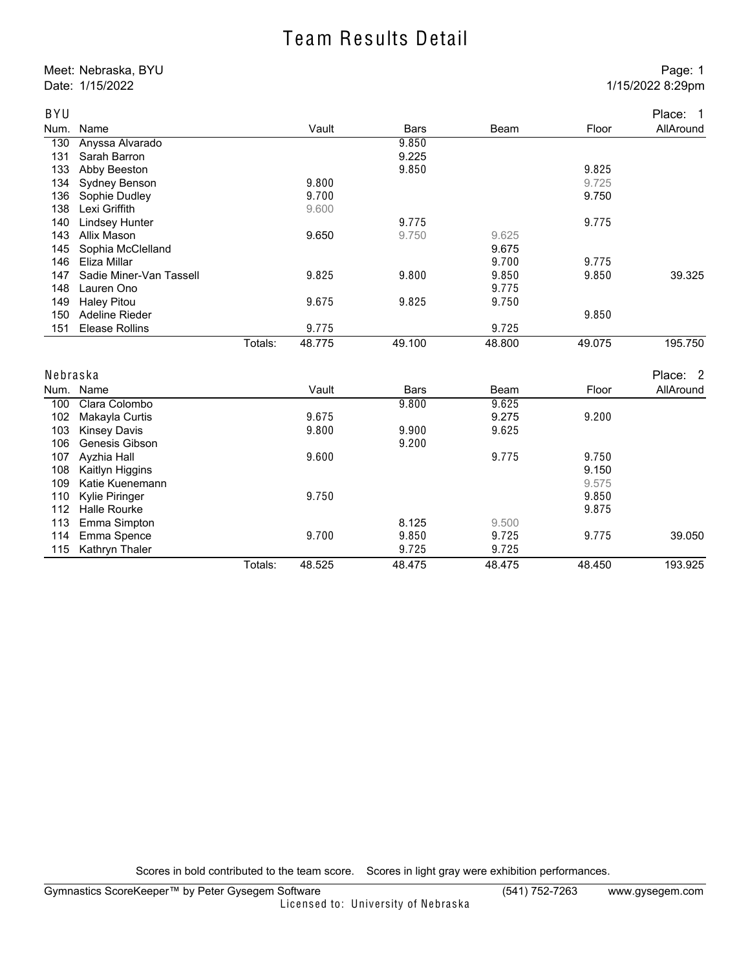#### Team Results Detail

Meet: Nebraska, BYU Page: 1 Date: 1/15/2022 8:29pm

| BYU      |                         |         |        |             |        |        | Place: 1  |
|----------|-------------------------|---------|--------|-------------|--------|--------|-----------|
| Num.     | Name                    |         | Vault  | <b>Bars</b> | Beam   | Floor  | AllAround |
| 130      | Anyssa Alvarado         |         |        | 9.850       |        |        |           |
| 131      | Sarah Barron            |         |        | 9.225       |        |        |           |
| 133      | Abby Beeston            |         |        | 9.850       |        | 9.825  |           |
| 134      | Sydney Benson           |         | 9.800  |             |        | 9.725  |           |
| 136      | Sophie Dudley           |         | 9.700  |             |        | 9.750  |           |
| 138      | Lexi Griffith           |         | 9.600  |             |        |        |           |
| 140      | <b>Lindsey Hunter</b>   |         |        | 9.775       |        | 9.775  |           |
| 143      | Allix Mason             |         | 9.650  | 9.750       | 9.625  |        |           |
| 145      | Sophia McClelland       |         |        |             | 9.675  |        |           |
| 146      | Eliza Millar            |         |        |             | 9.700  | 9.775  |           |
| 147      | Sadie Miner-Van Tassell |         | 9.825  | 9.800       | 9.850  | 9.850  | 39.325    |
| 148      | Lauren Ono              |         |        |             | 9.775  |        |           |
| 149      | <b>Haley Pitou</b>      |         | 9.675  | 9.825       | 9.750  |        |           |
| 150      | Adeline Rieder          |         |        |             |        | 9.850  |           |
| 151      | <b>Elease Rollins</b>   |         | 9.775  |             | 9.725  |        |           |
|          |                         | Totals: | 48.775 | 49.100      | 48.800 | 49.075 | 195.750   |
| Nebraska |                         |         |        |             |        |        | Place: 2  |
|          | Num. Name               |         | Vault  | <b>Bars</b> | Beam   | Floor  | AllAround |
| 100      | Clara Colombo           |         |        | 9.800       | 9.625  |        |           |
| 102      | Makayla Curtis          |         | 9.675  |             | 9.275  | 9.200  |           |
| 103      | <b>Kinsey Davis</b>     |         | 9.800  | 9.900       | 9.625  |        |           |
| 106      | Genesis Gibson          |         |        | 9.200       |        |        |           |
| 107      | Ayzhia Hall             |         | 9.600  |             | 9.775  | 9.750  |           |
| 108      | Kaitlyn Higgins         |         |        |             |        | 9.150  |           |
| 109      | Katie Kuenemann         |         |        |             |        | 9.575  |           |
| 110      | Kylie Piringer          |         | 9.750  |             |        | 9.850  |           |
| 112      | Halle Rourke            |         |        |             |        | 9.875  |           |
| 113      | Emma Simpton            |         |        | 8.125       | 9.500  |        |           |
| 114      | Emma Spence             |         | 9.700  | 9.850       | 9.725  | 9.775  | 39.050    |
| 115      | Kathryn Thaler          |         |        | 9.725       | 9.725  |        |           |
|          |                         | Totals: | 48.525 | 48.475      | 48.475 | 48.450 | 193.925   |

Scores in bold contributed to the team score. Scores in light gray were exhibition performances.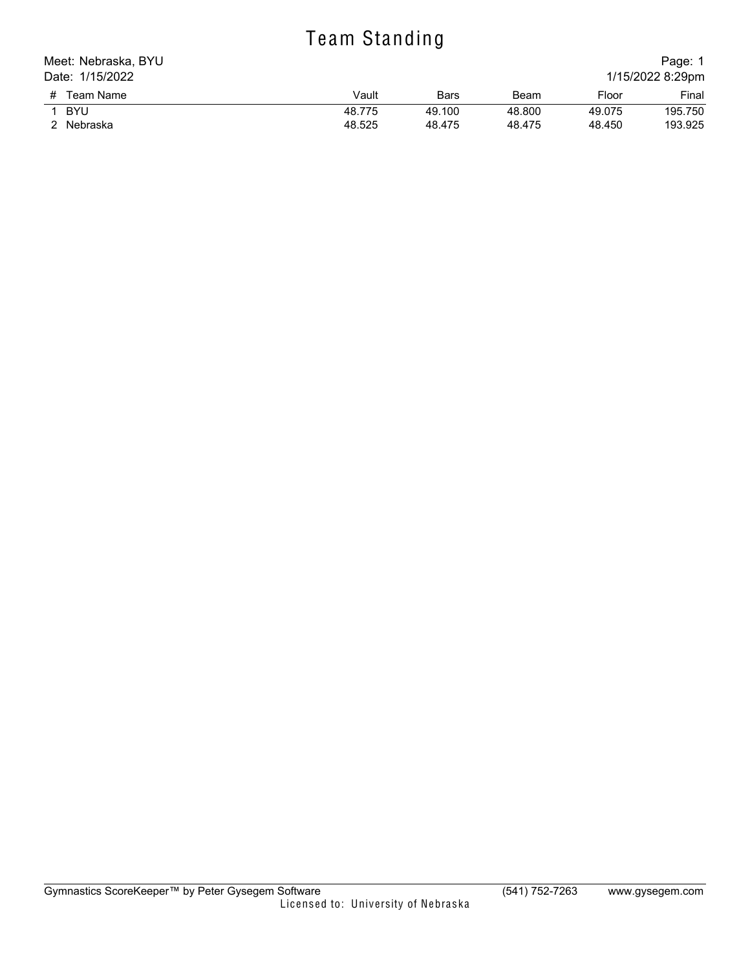# Te am Standing

| Meet: Nebraska, BYU |        |        |        |        | Page: 1          |
|---------------------|--------|--------|--------|--------|------------------|
| Date: 1/15/2022     |        |        |        |        | 1/15/2022 8:29pm |
| # Team Name         | Vault  | Bars   | Beam   | Floor  | Final            |
| BYU                 | 48.775 | 49.100 | 48.800 | 49.075 | 195.750          |
| 2 Nebraska          | 48.525 | 48.475 | 48.475 | 48.450 | 193.925          |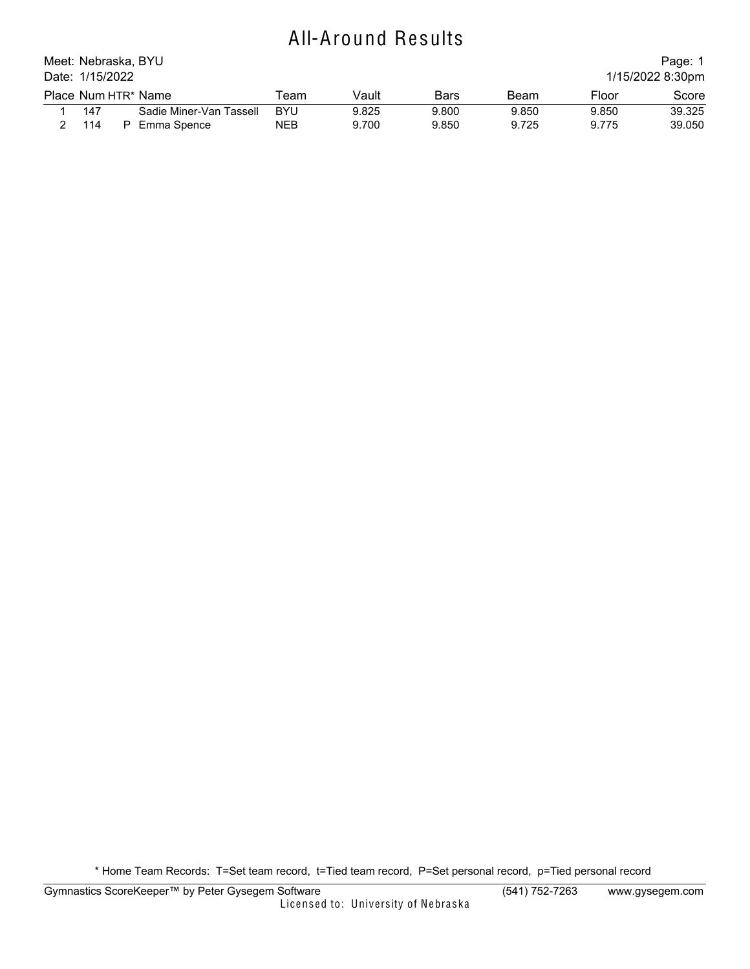## All-Around Results

| Meet: Nebraska, BYU                 |  |                         |            |       |       |       |       | Page: 1 |  |  |
|-------------------------------------|--|-------------------------|------------|-------|-------|-------|-------|---------|--|--|
| Date: 1/15/2022<br>1/15/2022 8:30pm |  |                         |            |       |       |       |       |         |  |  |
|                                     |  | Place Num HTR* Name     | ⊺eam       | Vault | Bars  | Beam  | Floor | Score   |  |  |
| 147                                 |  | Sadie Miner-Van Tassell | <b>BYU</b> | 9.825 | 9.800 | 9.850 | 9.850 | 39.325  |  |  |
| 114                                 |  | Emma Spence             | <b>NEB</b> | 9.700 | 9.850 | 9.725 | 9.775 | 39.050  |  |  |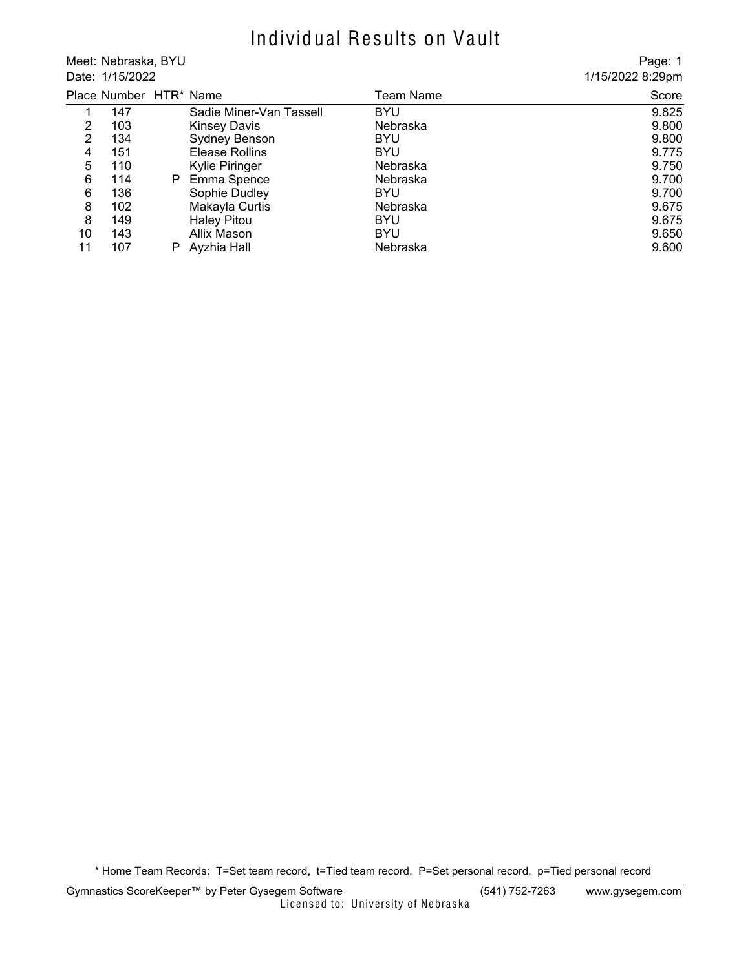### Individual Results on Vault

Meet: Nebraska, BYU Date: 1/15/2022

Page: 1 1/15/2022 8:29pm

|     |    |                         | Team Name              | Score |
|-----|----|-------------------------|------------------------|-------|
| 147 |    | Sadie Miner-Van Tassell | <b>BYU</b>             | 9.825 |
| 103 |    | <b>Kinsey Davis</b>     | Nebraska               | 9.800 |
| 134 |    | Sydney Benson           | <b>BYU</b>             | 9.800 |
| 151 |    | Elease Rollins          | <b>BYU</b>             | 9.775 |
| 110 |    | Kylie Piringer          | Nebraska               | 9.750 |
| 114 | P. | Emma Spence             | Nebraska               | 9.700 |
| 136 |    | Sophie Dudley           | <b>BYU</b>             | 9.700 |
| 102 |    | Makayla Curtis          | Nebraska               | 9.675 |
| 149 |    | <b>Haley Pitou</b>      | <b>BYU</b>             | 9.675 |
| 143 |    | Allix Mason             | <b>BYU</b>             | 9.650 |
| 107 |    | Ayzhia Hall             | Nebraska               | 9.600 |
|     |    |                         | Place Number HTR* Name |       |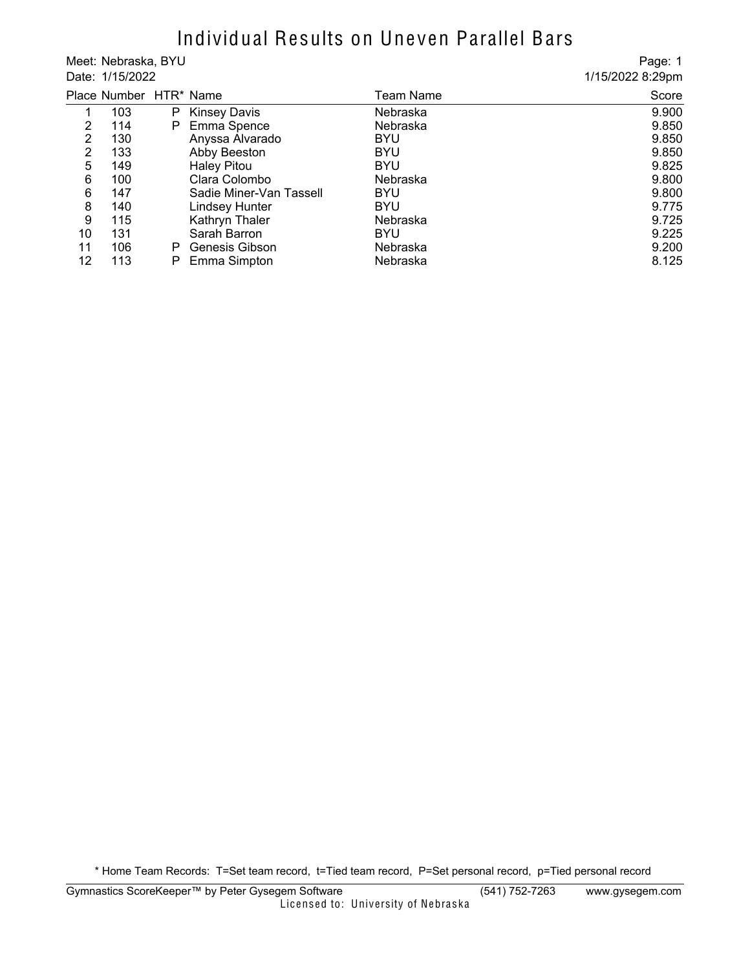#### Individual Results on Uneven Parallel Bars

Meet: Nebraska, BYU Date: 1/15/2022

Page: 1 1/15/2022 8:29pm

|    | Place Number HTR* Name |    |                         | Team Name  | Score |
|----|------------------------|----|-------------------------|------------|-------|
|    | 103                    | P. | <b>Kinsey Davis</b>     | Nebraska   | 9.900 |
| 2  | 114                    |    | P Emma Spence           | Nebraska   | 9.850 |
| 2  | 130                    |    | Anyssa Alvarado         | <b>BYU</b> | 9.850 |
| 2  | 133                    |    | Abby Beeston            | <b>BYU</b> | 9.850 |
| 5  | 149                    |    | <b>Haley Pitou</b>      | <b>BYU</b> | 9.825 |
| 6  | 100                    |    | Clara Colombo           | Nebraska   | 9.800 |
| 6  | 147                    |    | Sadie Miner-Van Tassell | <b>BYU</b> | 9.800 |
| 8  | 140                    |    | <b>Lindsey Hunter</b>   | <b>BYU</b> | 9.775 |
| 9  | 115                    |    | Kathryn Thaler          | Nebraska   | 9.725 |
| 10 | 131                    |    | Sarah Barron            | <b>BYU</b> | 9.225 |
| 11 | 106                    | P  | Genesis Gibson          | Nebraska   | 9.200 |
| 12 | 113                    |    | Emma Simpton            | Nebraska   | 8.125 |
|    |                        |    |                         |            |       |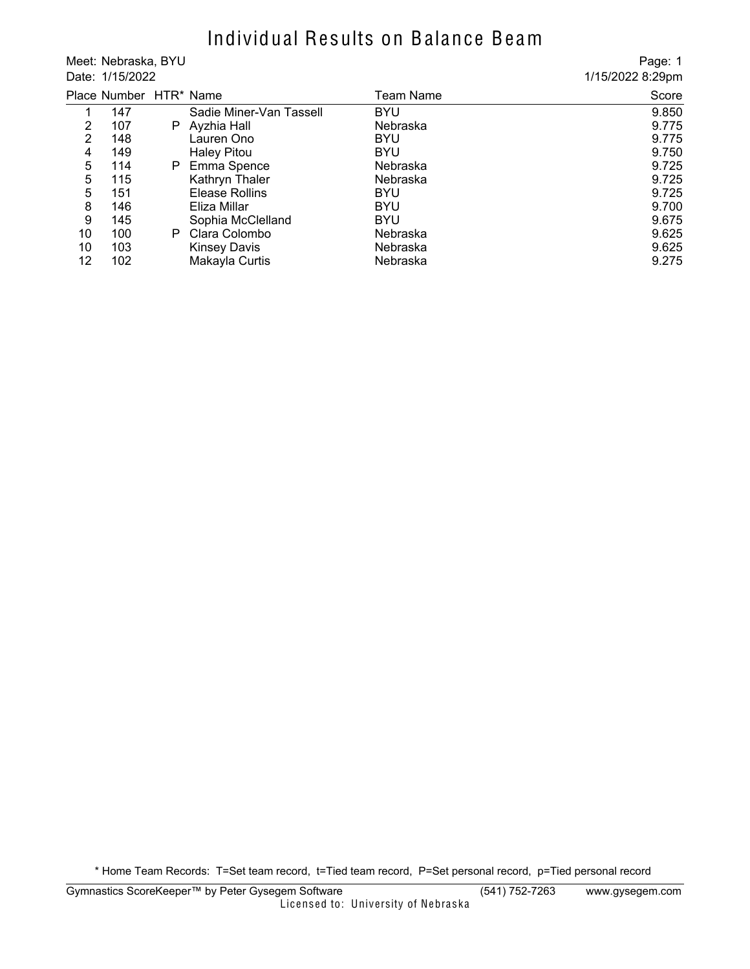## Individual Results on Balance Beam

Meet: Nebraska, BYU Date: 1/15/2022

Page: 1 1/15/2022 8:29pm

|                   | Place Number HTR* Name |    |                         | Team Name  | Score |
|-------------------|------------------------|----|-------------------------|------------|-------|
|                   | 147                    |    | Sadie Miner-Van Tassell | <b>BYU</b> | 9.850 |
| 2                 | 107                    | P. | Ayzhia Hall             | Nebraska   | 9.775 |
| 2                 | 148                    |    | Lauren Ono              | <b>BYU</b> | 9.775 |
| 4                 | 149                    |    | <b>Haley Pitou</b>      | <b>BYU</b> | 9.750 |
| 5                 | 114                    | P. | Emma Spence             | Nebraska   | 9.725 |
| 5                 | 115                    |    | Kathryn Thaler          | Nebraska   | 9.725 |
| 5                 | 151                    |    | Elease Rollins          | <b>BYU</b> | 9.725 |
| 8                 | 146                    |    | Eliza Millar            | <b>BYU</b> | 9.700 |
| 9                 | 145                    |    | Sophia McClelland       | <b>BYU</b> | 9.675 |
| 10                | 100                    | P. | Clara Colombo           | Nebraska   | 9.625 |
| 10                | 103                    |    | <b>Kinsey Davis</b>     | Nebraska   | 9.625 |
| $12 \overline{ }$ | 102                    |    | Makayla Curtis          | Nebraska   | 9.275 |
|                   |                        |    |                         |            |       |